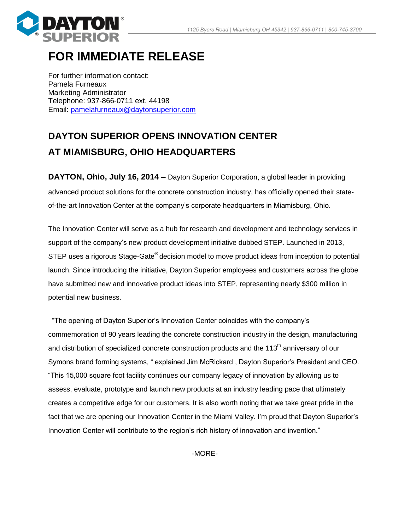

## **FOR IMMEDIATE RELEASE**

For further information contact: Pamela Furneaux Marketing Administrator Telephone: 937-866-0711 ext. 44198 Email: [pamelafurneaux@daytonsuperior.com](mailto:pamelafurneaux@daytonsuperior.com)

## **DAYTON SUPERIOR OPENS INNOVATION CENTER AT MIAMISBURG, OHIO HEADQUARTERS**

**DAYTON, Ohio, July 16, 2014 –** Dayton Superior Corporation, a global leader in providing advanced product solutions for the concrete construction industry, has officially opened their stateof-the-art Innovation Center at the company's corporate headquarters in Miamisburg, Ohio.

The Innovation Center will serve as a hub for research and development and technology services in support of the company's new product development initiative dubbed STEP. Launched in 2013, STEP uses a rigorous Stage-Gate® decision model to move product ideas from inception to potential launch. Since introducing the initiative, Dayton Superior employees and customers across the globe have submitted new and innovative product ideas into STEP, representing nearly \$300 million in potential new business.

 "The opening of Dayton Superior's Innovation Center coincides with the company's commemoration of 90 years leading the concrete construction industry in the design, manufacturing and distribution of specialized concrete construction products and the 113<sup>th</sup> anniversary of our Symons brand forming systems, " explained Jim McRickard , Dayton Superior's President and CEO. "This 15,000 square foot facility continues our company legacy of innovation by allowing us to assess, evaluate, prototype and launch new products at an industry leading pace that ultimately creates a competitive edge for our customers. It is also worth noting that we take great pride in the fact that we are opening our Innovation Center in the Miami Valley. I'm proud that Dayton Superior's Innovation Center will contribute to the region's rich history of innovation and invention."

-MORE-